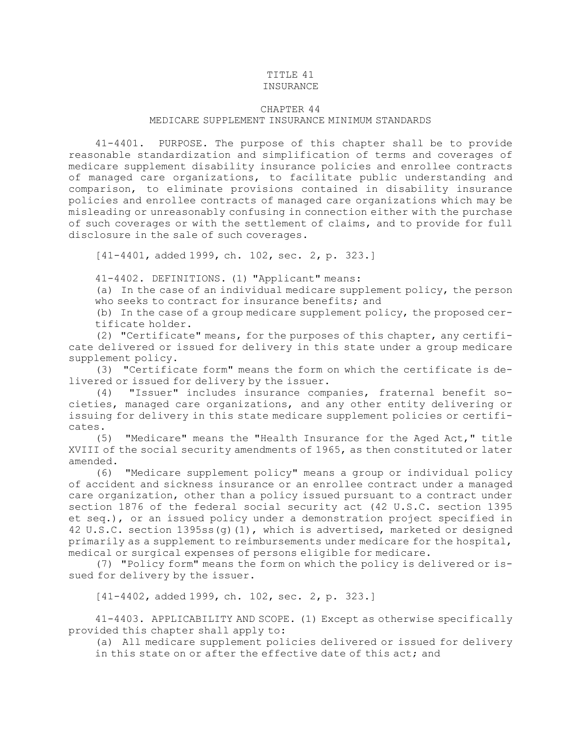## TITLE 41

## INSURANCE

## CHAPTER 44

## MEDICARE SUPPLEMENT INSURANCE MINIMUM STANDARDS

41-4401. PURPOSE. The purpose of this chapter shall be to provide reasonable standardization and simplification of terms and coverages of medicare supplement disability insurance policies and enrollee contracts of managed care organizations, to facilitate public understanding and comparison, to eliminate provisions contained in disability insurance policies and enrollee contracts of managed care organizations which may be misleading or unreasonably confusing in connection either with the purchase of such coverages or with the settlement of claims, and to provide for full disclosure in the sale of such coverages.

[41-4401, added 1999, ch. 102, sec. 2, p. 323.]

41-4402. DEFINITIONS. (1) "Applicant" means:

(a) In the case of an individual medicare supplement policy, the person who seeks to contract for insurance benefits; and

(b) In the case of <sup>a</sup> group medicare supplement policy, the proposed certificate holder.

(2) "Certificate" means, for the purposes of this chapter, any certificate delivered or issued for delivery in this state under <sup>a</sup> group medicare supplement policy.

(3) "Certificate form" means the form on which the certificate is delivered or issued for delivery by the issuer.

(4) "Issuer" includes insurance companies, fraternal benefit societies, managed care organizations, and any other entity delivering or issuing for delivery in this state medicare supplement policies or certificates.

(5) "Medicare" means the "Health Insurance for the Aged Act," title XVIII of the social security amendments of 1965, as then constituted or later amended.

(6) "Medicare supplement policy" means <sup>a</sup> group or individual policy of accident and sickness insurance or an enrollee contract under <sup>a</sup> managed care organization, other than <sup>a</sup> policy issued pursuant to <sup>a</sup> contract under section 1876 of the federal social security act (42 U.S.C. section 1395 et seq.), or an issued policy under <sup>a</sup> demonstration project specified in 42 U.S.C. section 1395ss(g)(1), which is advertised, marketed or designed primarily as <sup>a</sup> supplement to reimbursements under medicare for the hospital, medical or surgical expenses of persons eligible for medicare.

(7) "Policy form" means the form on which the policy is delivered or issued for delivery by the issuer.

[41-4402, added 1999, ch. 102, sec. 2, p. 323.]

41-4403. APPLICABILITY AND SCOPE. (1) Except as otherwise specifically provided this chapter shall apply to:

(a) All medicare supplement policies delivered or issued for delivery

in this state on or after the effective date of this act; and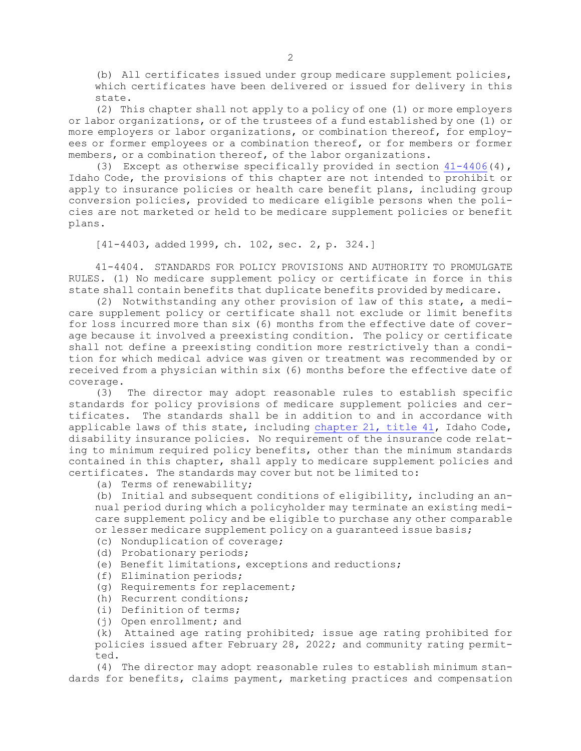(b) All certificates issued under group medicare supplement policies, which certificates have been delivered or issued for delivery in this state.

(2) This chapter shall not apply to <sup>a</sup> policy of one (1) or more employers or labor organizations, or of the trustees of <sup>a</sup> fund established by one (1) or more employers or labor organizations, or combination thereof, for employees or former employees or <sup>a</sup> combination thereof, or for members or former members, or <sup>a</sup> combination thereof, of the labor organizations.

(3) Except as otherwise specifically provided in section  $41-4406(4)$  $41-4406(4)$ , Idaho Code, the provisions of this chapter are not intended to prohibit or apply to insurance policies or health care benefit plans, including group conversion policies, provided to medicare eligible persons when the policies are not marketed or held to be medicare supplement policies or benefit plans.

[41-4403, added 1999, ch. 102, sec. 2, p. 324.]

41-4404. STANDARDS FOR POLICY PROVISIONS AND AUTHORITY TO PROMULGATE RULES. (1) No medicare supplement policy or certificate in force in this state shall contain benefits that duplicate benefits provided by medicare.

(2) Notwithstanding any other provision of law of this state, <sup>a</sup> medicare supplement policy or certificate shall not exclude or limit benefits for loss incurred more than six (6) months from the effective date of coverage because it involved <sup>a</sup> preexisting condition. The policy or certificate shall not define <sup>a</sup> preexisting condition more restrictively than <sup>a</sup> condition for which medical advice was given or treatment was recommended by or received from <sup>a</sup> physician within six (6) months before the effective date of coverage.

(3) The director may adopt reasonable rules to establish specific standards for policy provisions of medicare supplement policies and certificates. The standards shall be in addition to and in accordance with applicable laws of this state, including [chapter](https://legislature.idaho.gov/statutesrules/idstat/Title41/T41CH21) 21, title 41, Idaho Code, disability insurance policies. No requirement of the insurance code relating to minimum required policy benefits, other than the minimum standards contained in this chapter, shall apply to medicare supplement policies and certificates. The standards may cover but not be limited to:

(a) Terms of renewability;

(b) Initial and subsequent conditions of eligibility, including an annual period during which <sup>a</sup> policyholder may terminate an existing medicare supplement policy and be eligible to purchase any other comparable or lesser medicare supplement policy on <sup>a</sup> guaranteed issue basis;

- (c) Nonduplication of coverage;
- (d) Probationary periods;
- (e) Benefit limitations, exceptions and reductions;
- (f) Elimination periods;
- (g) Requirements for replacement;
- (h) Recurrent conditions;
- (i) Definition of terms;
- (j) Open enrollment; and

(k) Attained age rating prohibited; issue age rating prohibited for policies issued after February 28, 2022; and community rating permitted.

(4) The director may adopt reasonable rules to establish minimum standards for benefits, claims payment, marketing practices and compensation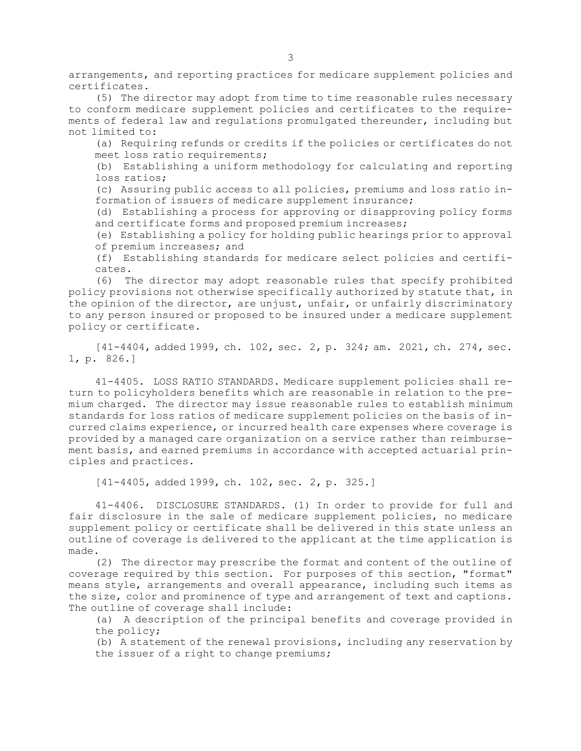arrangements, and reporting practices for medicare supplement policies and certificates.

(5) The director may adopt from time to time reasonable rules necessary to conform medicare supplement policies and certificates to the requirements of federal law and regulations promulgated thereunder, including but not limited to:

(a) Requiring refunds or credits if the policies or certificates do not meet loss ratio requirements;

(b) Establishing <sup>a</sup> uniform methodology for calculating and reporting loss ratios;

(c) Assuring public access to all policies, premiums and loss ratio information of issuers of medicare supplement insurance;

(d) Establishing <sup>a</sup> process for approving or disapproving policy forms and certificate forms and proposed premium increases;

(e) Establishing <sup>a</sup> policy for holding public hearings prior to approval of premium increases; and

(f) Establishing standards for medicare select policies and certificates.

(6) The director may adopt reasonable rules that specify prohibited policy provisions not otherwise specifically authorized by statute that, in the opinion of the director, are unjust, unfair, or unfairly discriminatory to any person insured or proposed to be insured under <sup>a</sup> medicare supplement policy or certificate.

[41-4404, added 1999, ch. 102, sec. 2, p. 324; am. 2021, ch. 274, sec. 1, p. 826.]

41-4405. LOSS RATIO STANDARDS. Medicare supplement policies shall return to policyholders benefits which are reasonable in relation to the premium charged. The director may issue reasonable rules to establish minimum standards for loss ratios of medicare supplement policies on the basis of incurred claims experience, or incurred health care expenses where coverage is provided by <sup>a</sup> managed care organization on <sup>a</sup> service rather than reimbursement basis, and earned premiums in accordance with accepted actuarial principles and practices.

[41-4405, added 1999, ch. 102, sec. 2, p. 325.]

41-4406. DISCLOSURE STANDARDS. (1) In order to provide for full and fair disclosure in the sale of medicare supplement policies, no medicare supplement policy or certificate shall be delivered in this state unless an outline of coverage is delivered to the applicant at the time application is made.

(2) The director may prescribe the format and content of the outline of coverage required by this section. For purposes of this section, "format" means style, arrangements and overall appearance, including such items as the size, color and prominence of type and arrangement of text and captions. The outline of coverage shall include:

(a) <sup>A</sup> description of the principal benefits and coverage provided in the policy;

(b) <sup>A</sup> statement of the renewal provisions, including any reservation by the issuer of <sup>a</sup> right to change premiums;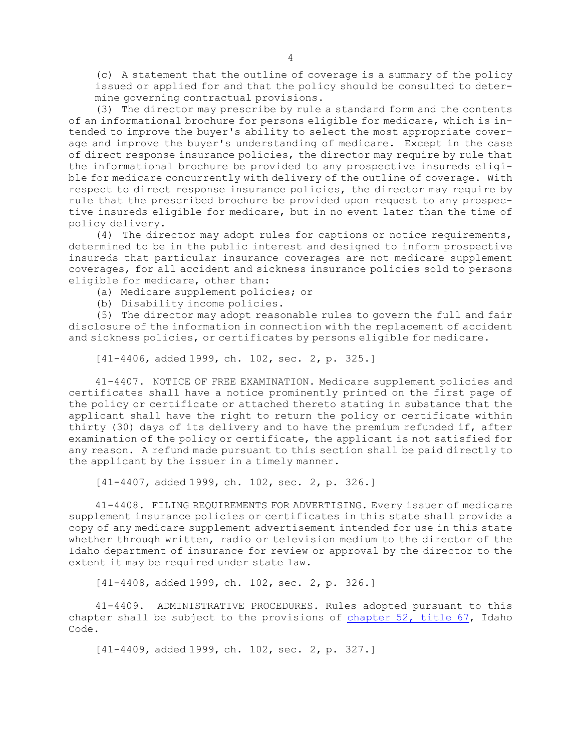(c) <sup>A</sup> statement that the outline of coverage is <sup>a</sup> summary of the policy issued or applied for and that the policy should be consulted to determine governing contractual provisions.

(3) The director may prescribe by rule <sup>a</sup> standard form and the contents of an informational brochure for persons eligible for medicare, which is intended to improve the buyer's ability to select the most appropriate coverage and improve the buyer's understanding of medicare. Except in the case of direct response insurance policies, the director may require by rule that the informational brochure be provided to any prospective insureds eligible for medicare concurrently with delivery of the outline of coverage. With respect to direct response insurance policies, the director may require by rule that the prescribed brochure be provided upon request to any prospective insureds eligible for medicare, but in no event later than the time of policy delivery.

(4) The director may adopt rules for captions or notice requirements, determined to be in the public interest and designed to inform prospective insureds that particular insurance coverages are not medicare supplement coverages, for all accident and sickness insurance policies sold to persons eligible for medicare, other than:

- (a) Medicare supplement policies; or
- (b) Disability income policies.

(5) The director may adopt reasonable rules to govern the full and fair disclosure of the information in connection with the replacement of accident and sickness policies, or certificates by persons eligible for medicare.

[41-4406, added 1999, ch. 102, sec. 2, p. 325.]

41-4407. NOTICE OF FREE EXAMINATION. Medicare supplement policies and certificates shall have <sup>a</sup> notice prominently printed on the first page of the policy or certificate or attached thereto stating in substance that the applicant shall have the right to return the policy or certificate within thirty (30) days of its delivery and to have the premium refunded if, after examination of the policy or certificate, the applicant is not satisfied for any reason. <sup>A</sup> refund made pursuant to this section shall be paid directly to the applicant by the issuer in <sup>a</sup> timely manner.

[41-4407, added 1999, ch. 102, sec. 2, p. 326.]

41-4408. FILING REQUIREMENTS FOR ADVERTISING. Every issuer of medicare supplement insurance policies or certificates in this state shall provide <sup>a</sup> copy of any medicare supplement advertisement intended for use in this state whether through written, radio or television medium to the director of the Idaho department of insurance for review or approval by the director to the extent it may be required under state law.

[41-4408, added 1999, ch. 102, sec. 2, p. 326.]

41-4409. ADMINISTRATIVE PROCEDURES. Rules adopted pursuant to this chapter shall be subject to the provisions of [chapter](https://legislature.idaho.gov/statutesrules/idstat/Title67/T67CH52) 52, title 67, Idaho Code.

[41-4409, added 1999, ch. 102, sec. 2, p. 327.]